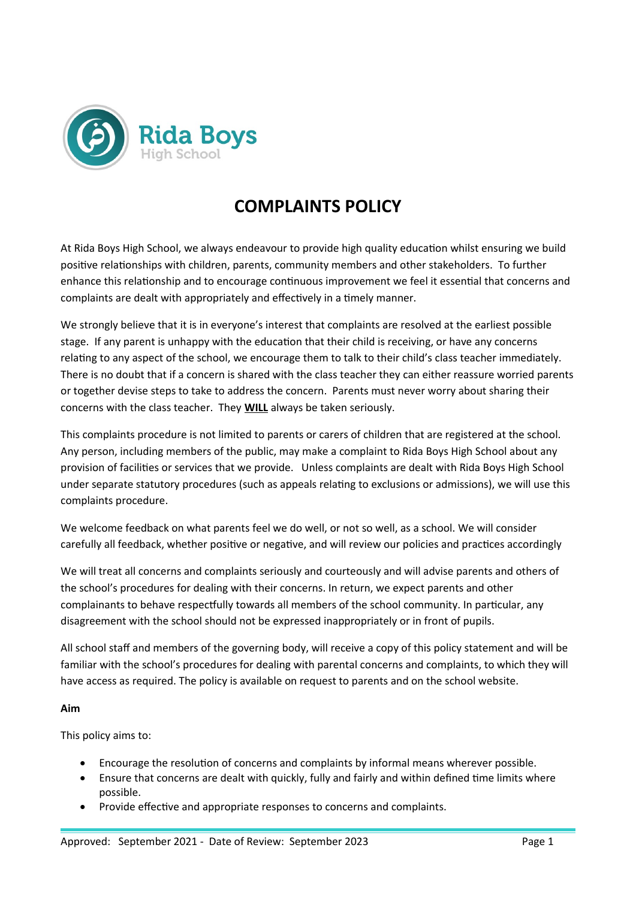

# **COMPLAINTS POLICY**

At Rida Boys High School, we always endeavour to provide high quality education whilst ensuring we build positive relationships with children, parents, community members and other stakeholders. To further enhance this relationship and to encourage continuous improvement we feel it essential that concerns and complaints are dealt with appropriately and effectively in a timely manner.

We strongly believe that it is in everyone's interest that complaints are resolved at the earliest possible stage. If any parent is unhappy with the education that their child is receiving, or have any concerns relating to any aspect of the school, we encourage them to talk to their child's class teacher immediately. There is no doubt that if a concern is shared with the class teacher they can either reassure worried parents or together devise steps to take to address the concern. Parents must never worry about sharing their concerns with the class teacher. They **WILL** always be taken seriously.

This complaints procedure is not limited to parents or carers of children that are registered at the school. Any person, including members of the public, may make a complaint to Rida Boys High School about any provision of facilities or services that we provide. Unless complaints are dealt with Rida Boys High School under separate statutory procedures (such as appeals relating to exclusions or admissions), we will use this complaints procedure.

We welcome feedback on what parents feel we do well, or not so well, as a school. We will consider carefully all feedback, whether positive or negative, and will review our policies and practices accordingly

We will treat all concerns and complaints seriously and courteously and will advise parents and others of the school's procedures for dealing with their concerns. In return, we expect parents and other complainants to behave respectfully towards all members of the school community. In particular, any disagreement with the school should not be expressed inappropriately or in front of pupils.

All school staff and members of the governing body, will receive a copy of this policy statement and will be familiar with the school's procedures for dealing with parental concerns and complaints, to which they will have access as required. The policy is available on request to parents and on the school website.

# **Aim**

This policy aims to:

- Encourage the resolution of concerns and complaints by informal means wherever possible.
- Ensure that concerns are dealt with quickly, fully and fairly and within defined time limits where possible.
- Provide effective and appropriate responses to concerns and complaints.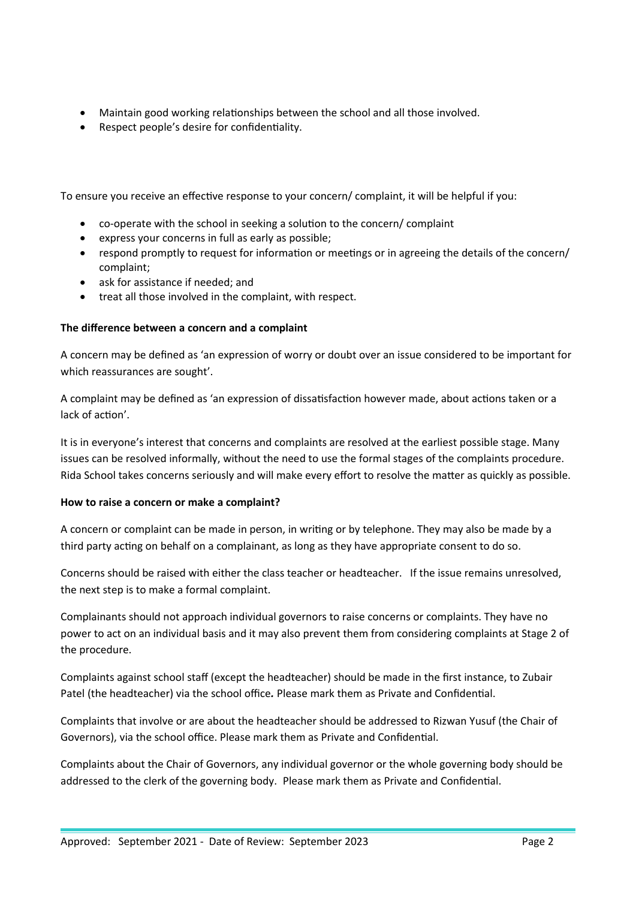- Maintain good working relationships between the school and all those involved.
- Respect people's desire for confidentiality.

To ensure you receive an effective response to your concern/ complaint, it will be helpful if you:

- co-operate with the school in seeking a solution to the concern/ complaint
- express your concerns in full as early as possible;
- respond promptly to request for information or meetings or in agreeing the details of the concern/ complaint;
- ask for assistance if needed; and
- treat all those involved in the complaint, with respect.

#### **The difference between a concern and a complaint**

A concern may be defined as 'an expression of worry or doubt over an issue considered to be important for which reassurances are sought'.

A complaint may be defined as 'an expression of dissatisfaction however made, about actions taken or a lack of action'.

It is in everyone's interest that concerns and complaints are resolved at the earliest possible stage. Many issues can be resolved informally, without the need to use the formal stages of the complaints procedure. Rida School takes concerns seriously and will make every effort to resolve the matter as quickly as possible.

#### **How to raise a concern or make a complaint?**

A concern or complaint can be made in person, in writing or by telephone. They may also be made by a third party acting on behalf on a complainant, as long as they have appropriate consent to do so.

Concerns should be raised with either the class teacher or headteacher. If the issue remains unresolved, the next step is to make a formal complaint.

Complainants should not approach individual governors to raise concerns or complaints. They have no power to act on an individual basis and it may also prevent them from considering complaints at Stage 2 of the procedure.

Complaints against school staff (except the headteacher) should be made in the first instance, to Zubair Patel (the headteacher) via the school office*.* Please mark them as Private and Confidential.

Complaints that involve or are about the headteacher should be addressed to Rizwan Yusuf (the Chair of Governors), via the school office. Please mark them as Private and Confidential.

Complaints about the Chair of Governors, any individual governor or the whole governing body should be addressed to the clerk of the governing body. Please mark them as Private and Confidential.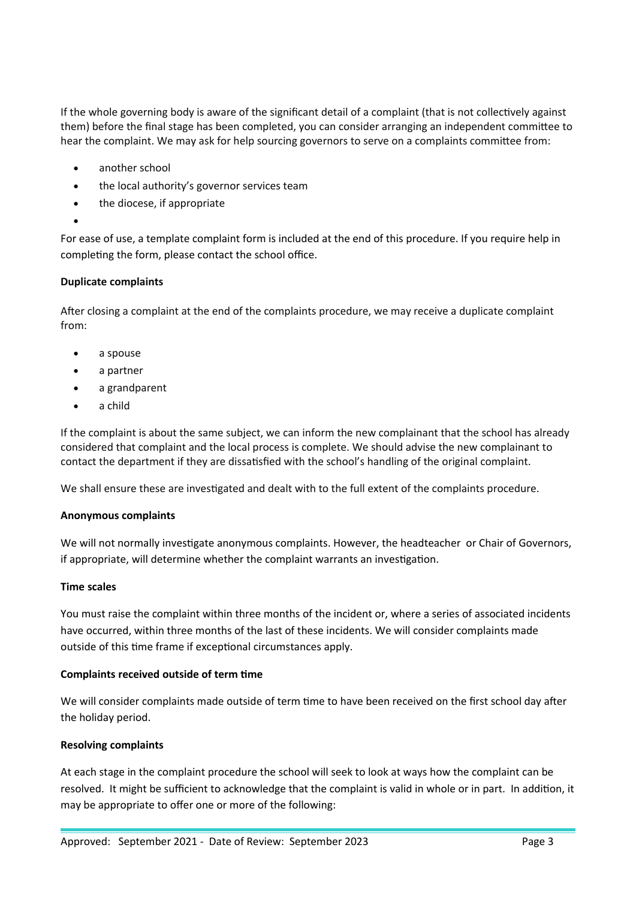If the whole governing body is aware of the significant detail of a complaint (that is not collectively against them) before the final stage has been completed, you can consider arranging an independent committee to hear the complaint. We may ask for help sourcing governors to serve on a complaints committee from:

- another school
- the local authority's governor services team
- the diocese, if appropriate
- $\bullet$

For ease of use, a template complaint form is included at the end of this procedure. If you require help in completing the form, please contact the school office.

#### **Duplicate complaints**

After closing a complaint at the end of the complaints procedure, we may receive a duplicate complaint from:

- a spouse
- a partner
- a grandparent
- a child

If the complaint is about the same subject, we can inform the new complainant that the school has already considered that complaint and the local process is complete. We should advise the new complainant to contact the department if they are dissatisfied with the school's handling of the original complaint.

We shall ensure these are investigated and dealt with to the full extent of the complaints procedure.

#### **Anonymous complaints**

We will not normally investigate anonymous complaints. However, the headteacher or Chair of Governors, if appropriate, will determine whether the complaint warrants an investigation.

#### **Time scales**

You must raise the complaint within three months of the incident or, where a series of associated incidents have occurred, within three months of the last of these incidents. We will consider complaints made outside of this time frame if exceptional circumstances apply.

#### **Complaints received outside of term time**

We will consider complaints made outside of term time to have been received on the first school day after the holiday period.

#### **Resolving complaints**

At each stage in the complaint procedure the school will seek to look at ways how the complaint can be resolved. It might be sufficient to acknowledge that the complaint is valid in whole or in part. In addition, it may be appropriate to offer one or more of the following: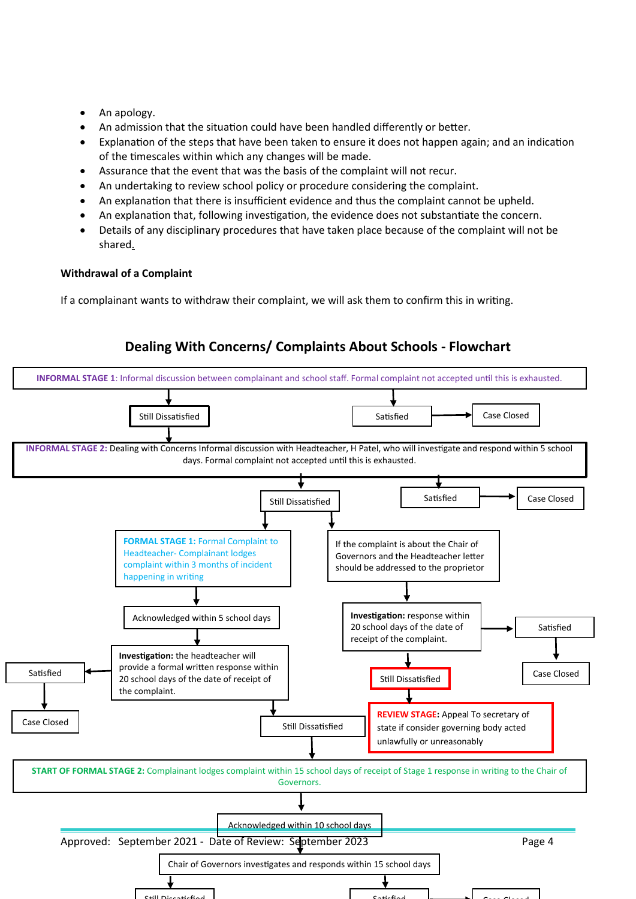- An apology.
- An admission that the situation could have been handled differently or better.
- Explanation of the steps that have been taken to ensure it does not happen again; and an indication of the timescales within which any changes will be made.
- Assurance that the event that was the basis of the complaint will not recur.
- An undertaking to review school policy or procedure considering the complaint.
- An explanation that there is insufficient evidence and thus the complaint cannot be upheld.
- An explanation that, following investigation, the evidence does not substantiate the concern.
- Details of any disciplinary procedures that have taken place because of the complaint will not be shared.

#### **Withdrawal of a Complaint**

If a complainant wants to withdraw their complaint, we will ask them to confirm this in writing.

# **Dealing With Concerns/ Complaints About Schools - Flowchart**

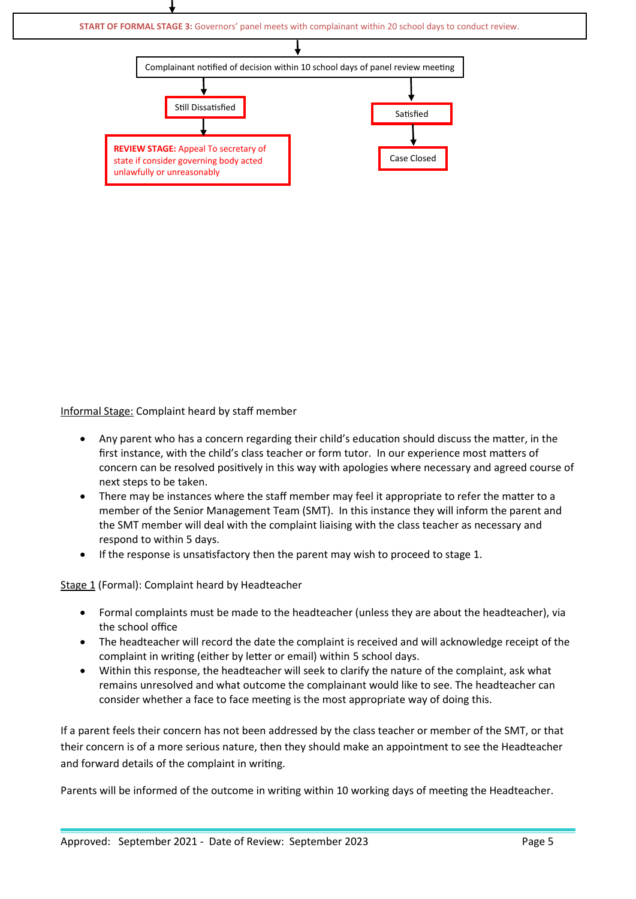

Informal Stage: Complaint heard by staff member

- Any parent who has a concern regarding their child's education should discuss the matter, in the first instance, with the child's class teacher or form tutor. In our experience most matters of concern can be resolved positively in this way with apologies where necessary and agreed course of next steps to be taken.
- There may be instances where the staff member may feel it appropriate to refer the matter to a member of the Senior Management Team (SMT). In this instance they will inform the parent and the SMT member will deal with the complaint liaising with the class teacher as necessary and respond to within 5 days.
- If the response is unsatisfactory then the parent may wish to proceed to stage 1.

Stage 1 (Formal): Complaint heard by Headteacher

- Formal complaints must be made to the headteacher (unless they are about the headteacher), via the school office
- The headteacher will record the date the complaint is received and will acknowledge receipt of the complaint in writing (either by letter or email) within 5 school days.
- Within this response, the headteacher will seek to clarify the nature of the complaint, ask what remains unresolved and what outcome the complainant would like to see. The headteacher can consider whether a face to face meeting is the most appropriate way of doing this.

If a parent feels their concern has not been addressed by the class teacher or member of the SMT, or that their concern is of a more serious nature, then they should make an appointment to see the Headteacher and forward details of the complaint in writing.

Parents will be informed of the outcome in writing within 10 working days of meeting the Headteacher.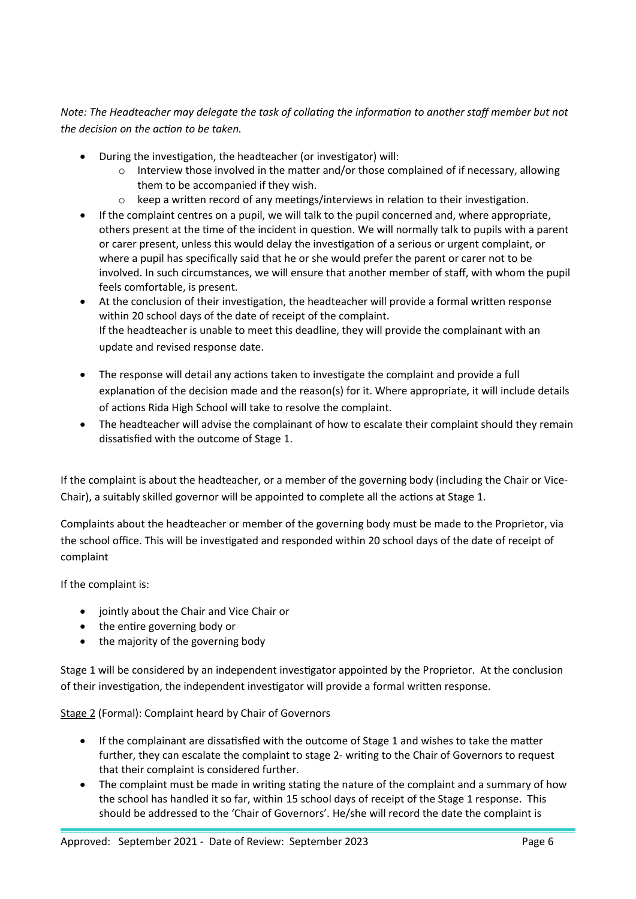*Note: The Headteacher may delegate the task of collating the information to another staff member but not the decision on the action to be taken.*

- During the investigation, the headteacher (or investigator) will:
	- $\circ$  Interview those involved in the matter and/or those complained of if necessary, allowing them to be accompanied if they wish.
	- $\circ$  keep a written record of any meetings/interviews in relation to their investigation.
- If the complaint centres on a pupil, we will talk to the pupil concerned and, where appropriate, others present at the time of the incident in question. We will normally talk to pupils with a parent or carer present, unless this would delay the investigation of a serious or urgent complaint, or where a pupil has specifically said that he or she would prefer the parent or carer not to be involved. In such circumstances, we will ensure that another member of staff, with whom the pupil feels comfortable, is present.
- At the conclusion of their investigation, the headteacher will provide a formal written response within 20 school days of the date of receipt of the complaint. If the headteacher is unable to meet this deadline, they will provide the complainant with an update and revised response date.
- The response will detail any actions taken to investigate the complaint and provide a full explanation of the decision made and the reason(s) for it. Where appropriate, it will include details of actions Rida High School will take to resolve the complaint.
- The headteacher will advise the complainant of how to escalate their complaint should they remain dissatisfied with the outcome of Stage 1.

If the complaint is about the headteacher, or a member of the governing body (including the Chair or Vice-Chair), a suitably skilled governor will be appointed to complete all the actions at Stage 1.

Complaints about the headteacher or member of the governing body must be made to the Proprietor, via the school office. This will be investigated and responded within 20 school days of the date of receipt of complaint

If the complaint is:

- jointly about the Chair and Vice Chair or
- the entire governing body or
- the majority of the governing body

Stage 1 will be considered by an independent investigator appointed by the Proprietor. At the conclusion of their investigation, the independent investigator will provide a formal written response.

Stage 2 (Formal): Complaint heard by Chair of Governors

- If the complainant are dissatisfied with the outcome of Stage 1 and wishes to take the matter further, they can escalate the complaint to stage 2- writing to the Chair of Governors to request that their complaint is considered further.
- The complaint must be made in writing stating the nature of the complaint and a summary of how the school has handled it so far, within 15 school days of receipt of the Stage 1 response. This should be addressed to the 'Chair of Governors'. He/she will record the date the complaint is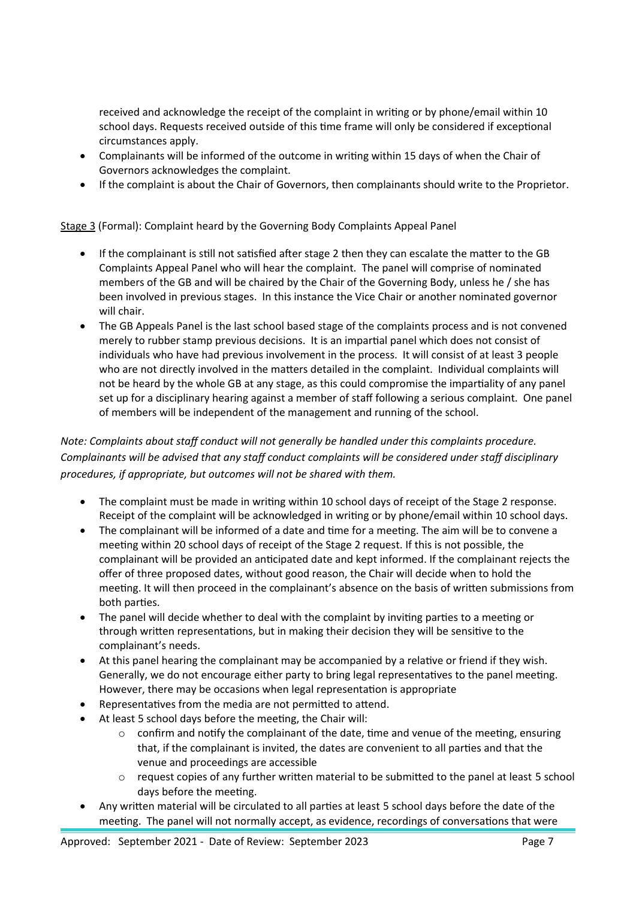received and acknowledge the receipt of the complaint in writing or by phone/email within 10 school days. Requests received outside of this time frame will only be considered if exceptional circumstances apply.

- Complainants will be informed of the outcome in writing within 15 days of when the Chair of Governors acknowledges the complaint.
- If the complaint is about the Chair of Governors, then complainants should write to the Proprietor.

Stage 3 (Formal): Complaint heard by the Governing Body Complaints Appeal Panel

- If the complainant is still not satisfied after stage 2 then they can escalate the matter to the GB Complaints Appeal Panel who will hear the complaint. The panel will comprise of nominated members of the GB and will be chaired by the Chair of the Governing Body, unless he / she has been involved in previous stages. In this instance the Vice Chair or another nominated governor will chair.
- The GB Appeals Panel is the last school based stage of the complaints process and is not convened merely to rubber stamp previous decisions. It is an impartial panel which does not consist of individuals who have had previous involvement in the process. It will consist of at least 3 people who are not directly involved in the matters detailed in the complaint. Individual complaints will not be heard by the whole GB at any stage, as this could compromise the impartiality of any panel set up for a disciplinary hearing against a member of staff following a serious complaint. One panel of members will be independent of the management and running of the school.

*Note: Complaints about staff conduct will not generally be handled under this complaints procedure. Complainants will be advised that any staff conduct complaints will be considered under staff disciplinary procedures, if appropriate, but outcomes will not be shared with them.* 

- The complaint must be made in writing within 10 school days of receipt of the Stage 2 response. Receipt of the complaint will be acknowledged in writing or by phone/email within 10 school days.
- The complainant will be informed of a date and time for a meeting. The aim will be to convene a meeting within 20 school days of receipt of the Stage 2 request. If this is not possible, the complainant will be provided an anticipated date and kept informed. If the complainant rejects the offer of three proposed dates, without good reason, the Chair will decide when to hold the meeting. It will then proceed in the complainant's absence on the basis of written submissions from both parties.
- The panel will decide whether to deal with the complaint by inviting parties to a meeting or through written representations, but in making their decision they will be sensitive to the complainant's needs.
- At this panel hearing the complainant may be accompanied by a relative or friend if they wish. Generally, we do not encourage either party to bring legal representatives to the panel meeting. However, there may be occasions when legal representation is appropriate
- Representatives from the media are not permitted to attend.
- At least 5 school days before the meeting, the Chair will:
	- $\circ$  confirm and notify the complainant of the date, time and venue of the meeting, ensuring that, if the complainant is invited, the dates are convenient to all parties and that the venue and proceedings are accessible
	- o request copies of any further written material to be submitted to the panel at least 5 school days before the meeting.
- Any written material will be circulated to all parties at least 5 school days before the date of the meeting. The panel will not normally accept, as evidence, recordings of conversations that were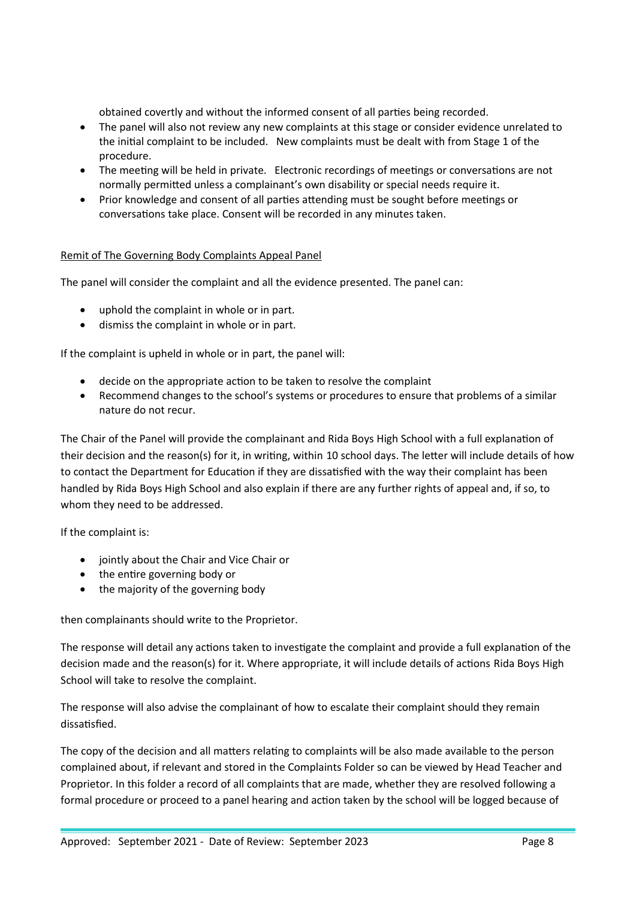obtained covertly and without the informed consent of all parties being recorded.

- The panel will also not review any new complaints at this stage or consider evidence unrelated to the initial complaint to be included. New complaints must be dealt with from Stage 1 of the procedure.
- The meeting will be held in private. Electronic recordings of meetings or conversations are not normally permitted unless a complainant's own disability or special needs require it.
- Prior knowledge and consent of all parties attending must be sought before meetings or conversations take place. Consent will be recorded in any minutes taken.

#### Remit of The Governing Body Complaints Appeal Panel

The panel will consider the complaint and all the evidence presented. The panel can:

- uphold the complaint in whole or in part.
- dismiss the complaint in whole or in part.

If the complaint is upheld in whole or in part, the panel will:

- decide on the appropriate action to be taken to resolve the complaint
- Recommend changes to the school's systems or procedures to ensure that problems of a similar nature do not recur.

The Chair of the Panel will provide the complainant and Rida Boys High School with a full explanation of their decision and the reason(s) for it, in writing, within 10 school days. The letter will include details of how to contact the Department for Education if they are dissatisfied with the way their complaint has been handled by Rida Boys High School and also explain if there are any further rights of appeal and, if so, to whom they need to be addressed.

If the complaint is:

- jointly about the Chair and Vice Chair or
- the entire governing body or
- the majority of the governing body

then complainants should write to the Proprietor.

The response will detail any actions taken to investigate the complaint and provide a full explanation of the decision made and the reason(s) for it. Where appropriate, it will include details of actions Rida Boys High School will take to resolve the complaint.

The response will also advise the complainant of how to escalate their complaint should they remain dissatisfied.

The copy of the decision and all matters relating to complaints will be also made available to the person complained about, if relevant and stored in the Complaints Folder so can be viewed by Head Teacher and Proprietor. In this folder a record of all complaints that are made, whether they are resolved following a formal procedure or proceed to a panel hearing and action taken by the school will be logged because of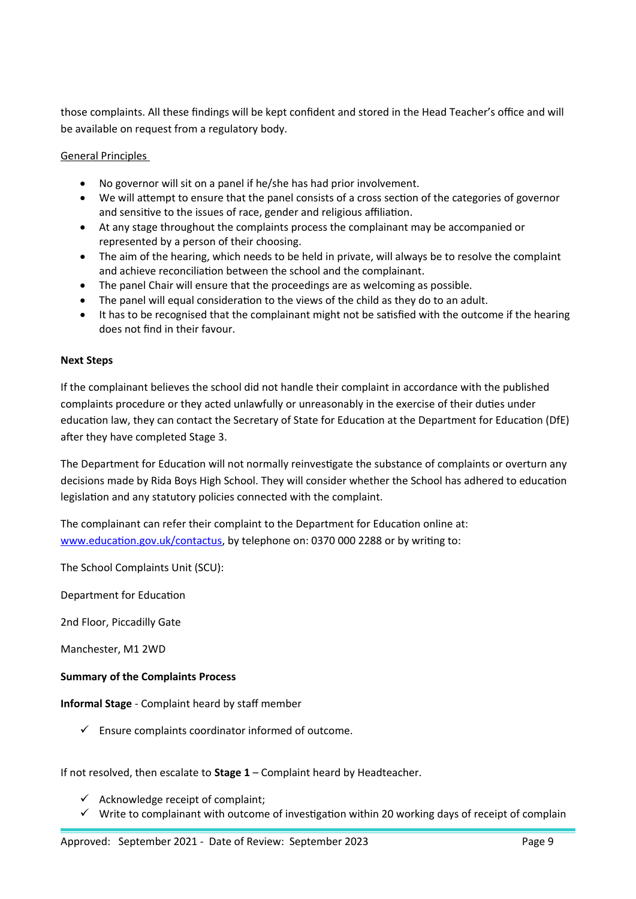those complaints. All these findings will be kept confident and stored in the Head Teacher's office and will be available on request from a regulatory body.

General Principles

- No governor will sit on a panel if he/she has had prior involvement.
- We will attempt to ensure that the panel consists of a cross section of the categories of governor and sensitive to the issues of race, gender and religious affiliation.
- At any stage throughout the complaints process the complainant may be accompanied or represented by a person of their choosing.
- The aim of the hearing, which needs to be held in private, will always be to resolve the complaint and achieve reconciliation between the school and the complainant.
- The panel Chair will ensure that the proceedings are as welcoming as possible.
- The panel will equal consideration to the views of the child as they do to an adult.
- It has to be recognised that the complainant might not be satisfied with the outcome if the hearing does not find in their favour.

#### **Next Steps**

If the complainant believes the school did not handle their complaint in accordance with the published complaints procedure or they acted unlawfully or unreasonably in the exercise of their duties under education law, they can contact the Secretary of State for Education at the Department for Education (DfE) after they have completed Stage 3.

The Department for Education will not normally reinvestigate the substance of complaints or overturn any decisions made by Rida Boys High School. They will consider whether the School has adhered to education legislation and any statutory policies connected with the complaint.

The complainant can refer their complaint to the Department for Education online at: [www.education.gov.uk/contactus](http://www.education.gov.uk/contactus), by telephone on: 0370 000 2288 or by writing to:

The School Complaints Unit (SCU):

Department for Education

2nd Floor, Piccadilly Gate

Manchester, M1 2WD

#### **Summary of the Complaints Process**

**Informal Stage** - Complaint heard by staff member

 $\checkmark$  Ensure complaints coordinator informed of outcome.

If not resolved, then escalate to **Stage 1** – Complaint heard by Headteacher.

- $\checkmark$  Acknowledge receipt of complaint;
- $\checkmark$  Write to complainant with outcome of investigation within 20 working days of receipt of complain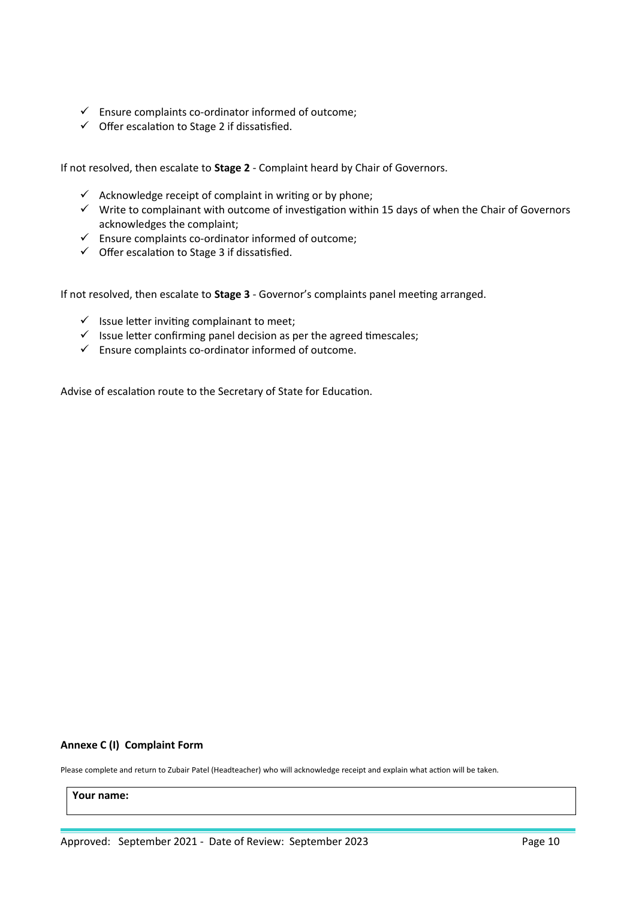- $\checkmark$  Ensure complaints co-ordinator informed of outcome;
- $\checkmark$  Offer escalation to Stage 2 if dissatisfied.

If not resolved, then escalate to **Stage 2** - Complaint heard by Chair of Governors.

- $\checkmark$  Acknowledge receipt of complaint in writing or by phone;
- $\checkmark$  Write to complainant with outcome of investigation within 15 days of when the Chair of Governors acknowledges the complaint;
- $\checkmark$  Ensure complaints co-ordinator informed of outcome;
- $\checkmark$  Offer escalation to Stage 3 if dissatisfied.

If not resolved, then escalate to **Stage 3** - Governor's complaints panel meeting arranged.

- $\checkmark$  Issue letter inviting complainant to meet;
- $\checkmark$  Issue letter confirming panel decision as per the agreed timescales;
- $\checkmark$  Ensure complaints co-ordinator informed of outcome.

Advise of escalation route to the Secretary of State for Education.

#### **Annexe C (I) Complaint Form**

Please complete and return to Zubair Patel (Headteacher) who will acknowledge receipt and explain what action will be taken.

**Your name:**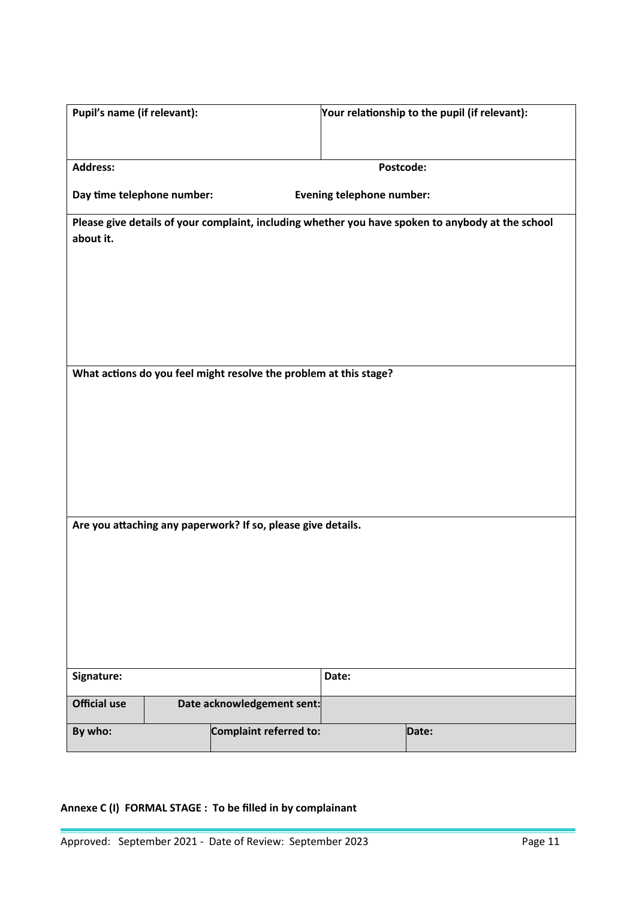| Pupil's name (if relevant): |                                                              |                                                                   |                                  | Your relationship to the pupil (if relevant):                                                     |
|-----------------------------|--------------------------------------------------------------|-------------------------------------------------------------------|----------------------------------|---------------------------------------------------------------------------------------------------|
|                             |                                                              |                                                                   |                                  |                                                                                                   |
|                             |                                                              |                                                                   |                                  |                                                                                                   |
| <b>Address:</b>             |                                                              |                                                                   | Postcode:                        |                                                                                                   |
| Day time telephone number:  |                                                              |                                                                   | <b>Evening telephone number:</b> |                                                                                                   |
|                             |                                                              |                                                                   |                                  | Please give details of your complaint, including whether you have spoken to anybody at the school |
| about it.                   |                                                              |                                                                   |                                  |                                                                                                   |
|                             |                                                              |                                                                   |                                  |                                                                                                   |
|                             |                                                              |                                                                   |                                  |                                                                                                   |
|                             |                                                              |                                                                   |                                  |                                                                                                   |
|                             |                                                              |                                                                   |                                  |                                                                                                   |
|                             |                                                              |                                                                   |                                  |                                                                                                   |
|                             |                                                              | What actions do you feel might resolve the problem at this stage? |                                  |                                                                                                   |
|                             |                                                              |                                                                   |                                  |                                                                                                   |
|                             |                                                              |                                                                   |                                  |                                                                                                   |
|                             |                                                              |                                                                   |                                  |                                                                                                   |
|                             |                                                              |                                                                   |                                  |                                                                                                   |
|                             |                                                              |                                                                   |                                  |                                                                                                   |
|                             |                                                              |                                                                   |                                  |                                                                                                   |
|                             |                                                              |                                                                   |                                  |                                                                                                   |
|                             | Are you attaching any paperwork? If so, please give details. |                                                                   |                                  |                                                                                                   |
|                             |                                                              |                                                                   |                                  |                                                                                                   |
|                             |                                                              |                                                                   |                                  |                                                                                                   |
|                             |                                                              |                                                                   |                                  |                                                                                                   |
|                             |                                                              |                                                                   |                                  |                                                                                                   |
|                             |                                                              |                                                                   |                                  |                                                                                                   |
|                             |                                                              |                                                                   |                                  |                                                                                                   |
| Signature:                  |                                                              |                                                                   | Date:                            |                                                                                                   |
|                             |                                                              |                                                                   |                                  |                                                                                                   |
| <b>Official use</b>         |                                                              | Date acknowledgement sent:                                        |                                  |                                                                                                   |
| By who:                     |                                                              | Complaint referred to:                                            |                                  | Date:                                                                                             |

# **Annexe C (I) FORMAL STAGE : To be filled in by complainant**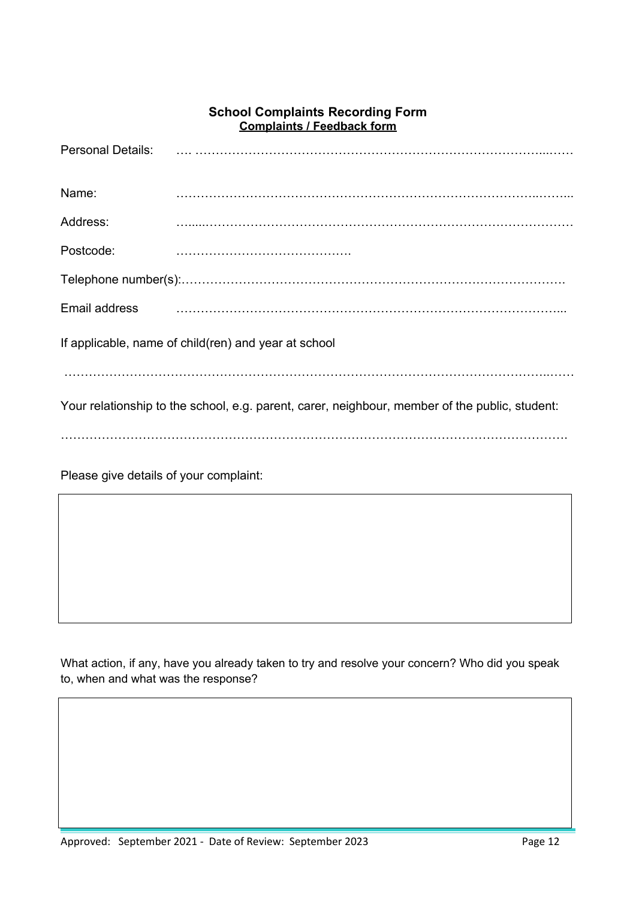# **School Complaints Recording Form Complaints / Feedback form**

| <b>Personal Details:</b>                                                                       |  |  |  |
|------------------------------------------------------------------------------------------------|--|--|--|
| Name:                                                                                          |  |  |  |
| Address:                                                                                       |  |  |  |
| Postcode:                                                                                      |  |  |  |
|                                                                                                |  |  |  |
| Email address                                                                                  |  |  |  |
| If applicable, name of child(ren) and year at school                                           |  |  |  |
|                                                                                                |  |  |  |
| Your relationship to the school, e.g. parent, carer, neighbour, member of the public, student: |  |  |  |
|                                                                                                |  |  |  |
|                                                                                                |  |  |  |

Please give details of your complaint:

What action, if any, have you already taken to try and resolve your concern? Who did you speak to, when and what was the response?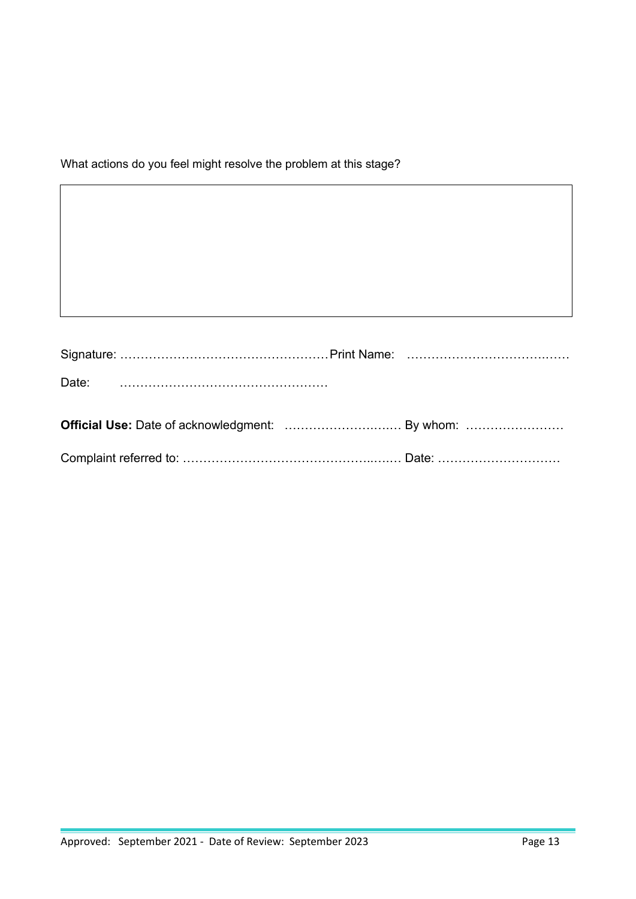What actions do you feel might resolve the problem at this stage?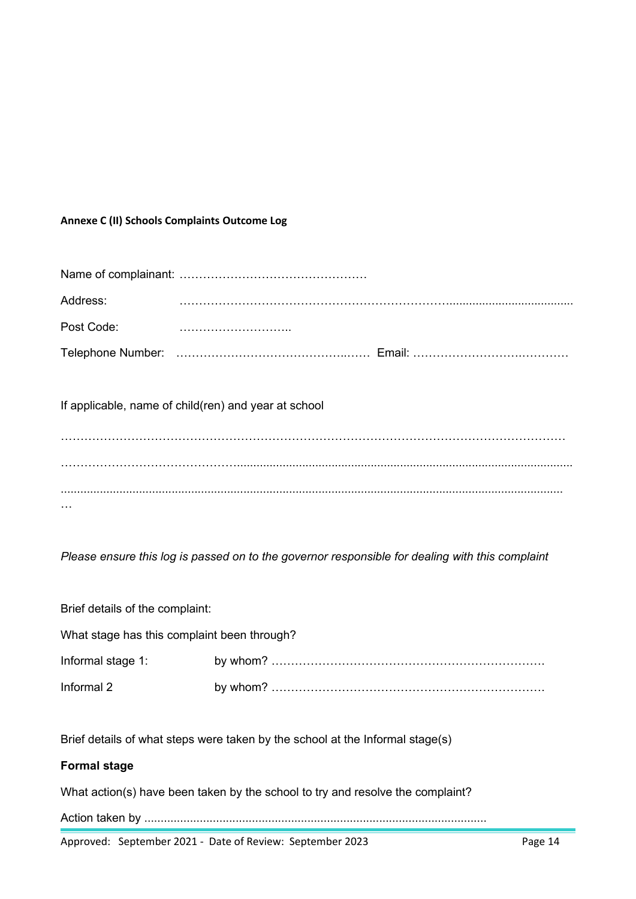# **Annexe C (II) Schools Complaints Outcome Log**

| Address:                                             |  |  |
|------------------------------------------------------|--|--|
| Post Code:                                           |  |  |
|                                                      |  |  |
| If applicable, name of child(ren) and year at school |  |  |
|                                                      |  |  |
|                                                      |  |  |

*Please ensure this log is passed on to the governor responsible for dealing with this complaint*

| Brief details of the complaint:             |  |  |
|---------------------------------------------|--|--|
| What stage has this complaint been through? |  |  |
| Informal stage 1:                           |  |  |
| Informal 2                                  |  |  |

Brief details of what steps were taken by the school at the Informal stage(s)

# **Formal stage**

What action(s) have been taken by the school to try and resolve the complaint?

Action taken by .........................................................................................................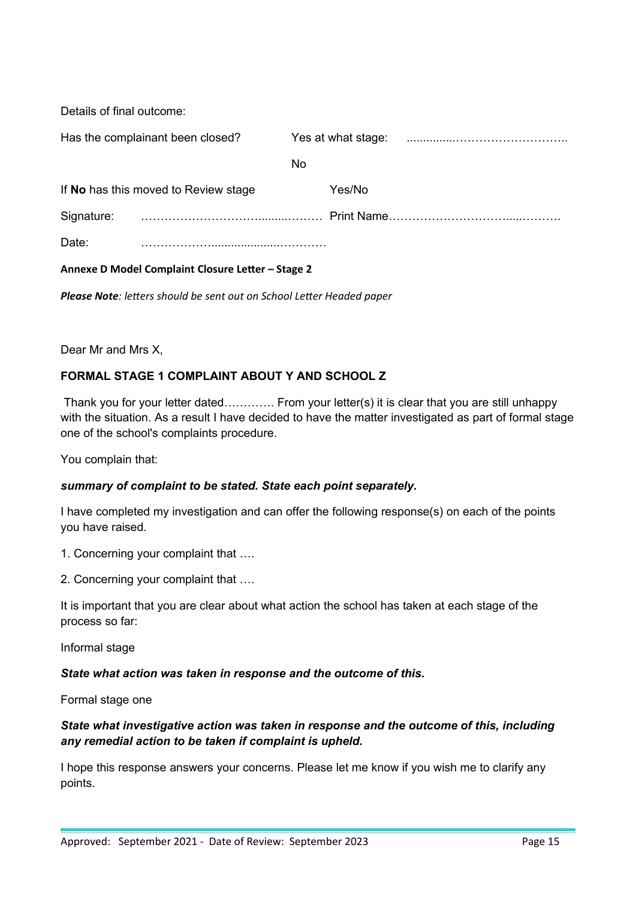Details of final outcome:

| Has the complainant been closed?     |  | Yes at what stage: |        |  |
|--------------------------------------|--|--------------------|--------|--|
|                                      |  | No.                |        |  |
| If No has this moved to Review stage |  |                    | Yes/No |  |
| Signature:                           |  |                    |        |  |
| Date:                                |  |                    |        |  |

**Annexe D Model Complaint Closure Letter – Stage 2**

*Please Note: letters should be sent out on School Letter Headed paper*

Dear Mr and Mrs X,

# **FORMAL STAGE 1 COMPLAINT ABOUT Y AND SCHOOL Z**

Thank you for your letter dated…………. From your letter(s) it is clear that you are still unhappy with the situation. As a result I have decided to have the matter investigated as part of formal stage one of the school's complaints procedure.

You complain that:

# *summary of complaint to be stated. State each point separately.*

I have completed my investigation and can offer the following response(s) on each of the points you have raised.

1. Concerning your complaint that ….

2. Concerning your complaint that ….

It is important that you are clear about what action the school has taken at each stage of the process so far:

Informal stage

#### *State what action was taken in response and the outcome of this.*

Formal stage one

# *State what investigative action was taken in response and the outcome of this, including any remedial action to be taken if complaint is upheld.*

I hope this response answers your concerns. Please let me know if you wish me to clarify any points.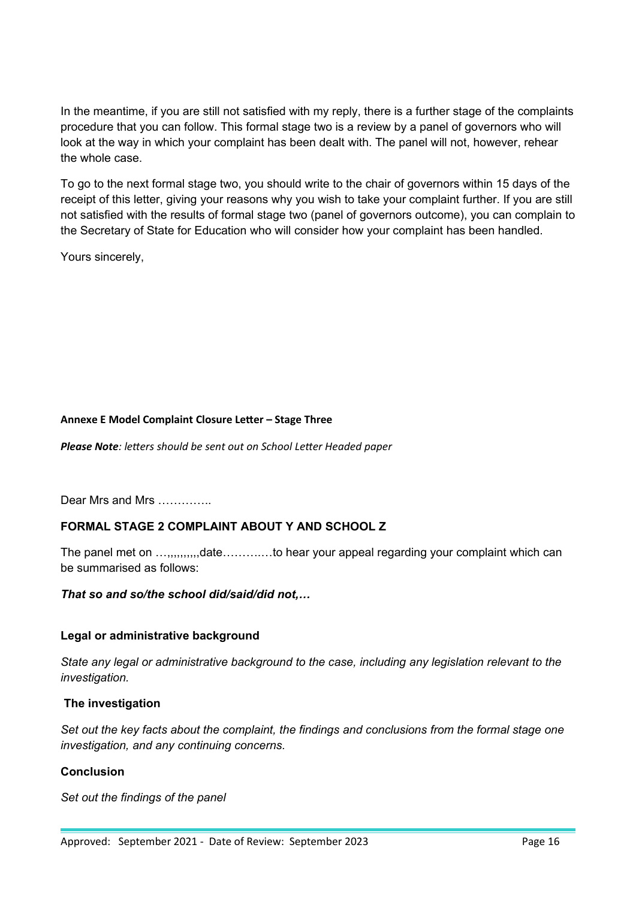In the meantime, if you are still not satisfied with my reply, there is a further stage of the complaints procedure that you can follow. This formal stage two is a review by a panel of governors who will look at the way in which your complaint has been dealt with. The panel will not, however, rehear the whole case.

To go to the next formal stage two, you should write to the chair of governors within 15 days of the receipt of this letter, giving your reasons why you wish to take your complaint further. If you are still not satisfied with the results of formal stage two (panel of governors outcome), you can complain to the Secretary of State for Education who will consider how your complaint has been handled.

Yours sincerely,

#### **Annexe E Model Complaint Closure Letter – Stage Three**

*Please Note: letters should be sent out on School Letter Headed paper*

Dear Mrs and Mrs ..............

# **FORMAL STAGE 2 COMPLAINT ABOUT Y AND SCHOOL Z**

The panel met on ...,,,,,,,,,,date.............to hear your appeal regarding your complaint which can be summarised as follows:

# *That so and so/the school did/said/did not,…*

#### **Legal or administrative background**

*State any legal or administrative background to the case, including any legislation relevant to the investigation.*

# **The investigation**

*Set out the key facts about the complaint, the findings and conclusions from the formal stage one investigation, and any continuing concerns.* 

# **Conclusion**

*Set out the findings of the panel*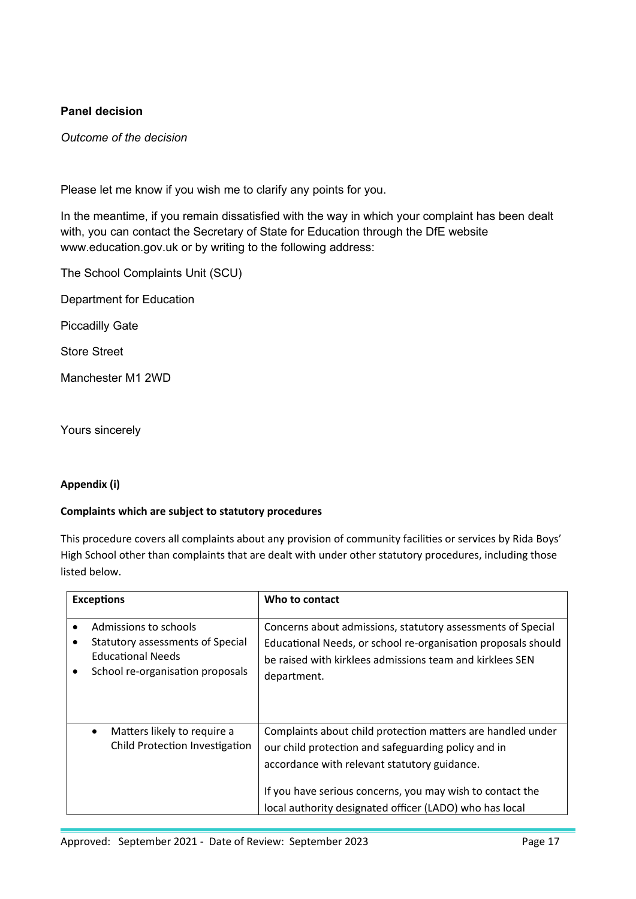# **Panel decision**

*Outcome of the decision* 

Please let me know if you wish me to clarify any points for you.

In the meantime, if you remain dissatisfied with the way in which your complaint has been dealt with, you can contact the Secretary of State for Education through the DfE website www.education.gov.uk or by writing to the following address:

The School Complaints Unit (SCU)

Department for Education

Piccadilly Gate

Store Street

Manchester M1 2WD

Yours sincerely

# **Appendix (i)**

# **Complaints which are subject to statutory procedures**

This procedure covers all complaints about any provision of community facilities or services by Rida Boys' High School other than complaints that are dealt with under other statutory procedures, including those listed below.

| <b>Exceptions</b>                                                                                                                   | Who to contact                                                                                                                                                                                                                                                                             |
|-------------------------------------------------------------------------------------------------------------------------------------|--------------------------------------------------------------------------------------------------------------------------------------------------------------------------------------------------------------------------------------------------------------------------------------------|
| Admissions to schools<br>Statutory assessments of Special<br>٠<br><b>Educational Needs</b><br>School re-organisation proposals<br>٠ | Concerns about admissions, statutory assessments of Special<br>Educational Needs, or school re-organisation proposals should<br>be raised with kirklees admissions team and kirklees SEN<br>department.                                                                                    |
| Matters likely to require a<br>$\bullet$<br>Child Protection Investigation                                                          | Complaints about child protection matters are handled under<br>our child protection and safeguarding policy and in<br>accordance with relevant statutory guidance.<br>If you have serious concerns, you may wish to contact the<br>local authority designated officer (LADO) who has local |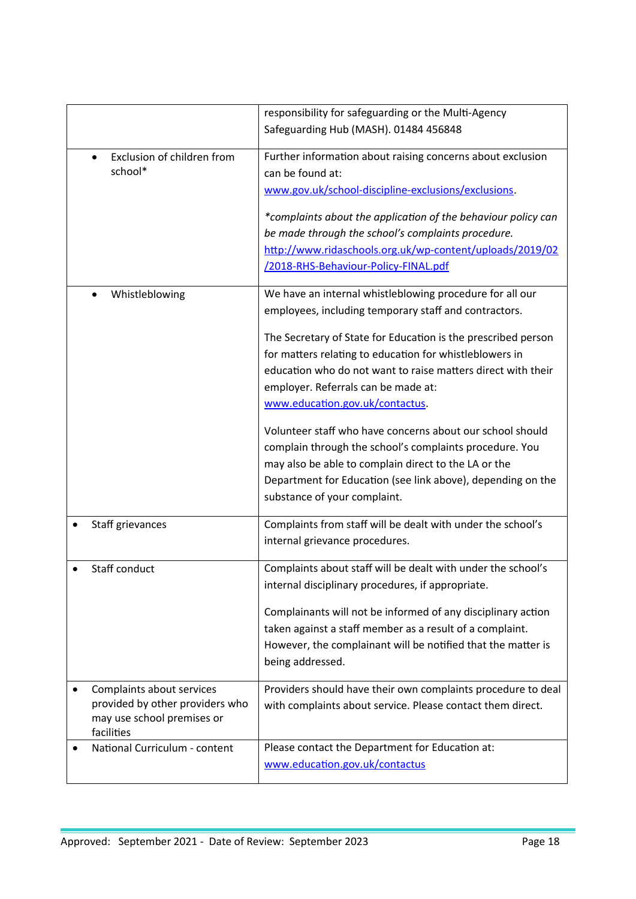|                                          | responsibility for safeguarding or the Multi-Agency           |
|------------------------------------------|---------------------------------------------------------------|
|                                          | Safeguarding Hub (MASH). 01484 456848                         |
| Exclusion of children from<br>$\bullet$  | Further information about raising concerns about exclusion    |
| school*                                  | can be found at:                                              |
|                                          |                                                               |
|                                          | www.gov.uk/school-discipline-exclusions/exclusions.           |
|                                          | *complaints about the application of the behaviour policy can |
|                                          | be made through the school's complaints procedure.            |
|                                          | http://www.ridaschools.org.uk/wp-content/uploads/2019/02      |
|                                          | /2018-RHS-Behaviour-Policy-FINAL.pdf                          |
| Whistleblowing                           | We have an internal whistleblowing procedure for all our      |
|                                          | employees, including temporary staff and contractors.         |
|                                          | The Secretary of State for Education is the prescribed person |
|                                          | for matters relating to education for whistleblowers in       |
|                                          | education who do not want to raise matters direct with their  |
|                                          | employer. Referrals can be made at:                           |
|                                          | www.education.gov.uk/contactus.                               |
|                                          | Volunteer staff who have concerns about our school should     |
|                                          | complain through the school's complaints procedure. You       |
|                                          | may also be able to complain direct to the LA or the          |
|                                          | Department for Education (see link above), depending on the   |
|                                          | substance of your complaint.                                  |
| Staff grievances                         | Complaints from staff will be dealt with under the school's   |
|                                          | internal grievance procedures.                                |
| Staff conduct                            | Complaints about staff will be dealt with under the school's  |
|                                          | internal disciplinary procedures, if appropriate.             |
|                                          | Complainants will not be informed of any disciplinary action  |
|                                          | taken against a staff member as a result of a complaint.      |
|                                          | However, the complainant will be notified that the matter is  |
|                                          | being addressed.                                              |
| Complaints about services                | Providers should have their own complaints procedure to deal  |
| provided by other providers who          | with complaints about service. Please contact them direct.    |
| may use school premises or<br>facilities |                                                               |
| National Curriculum - content            | Please contact the Department for Education at:               |
|                                          | www.education.gov.uk/contactus                                |
|                                          |                                                               |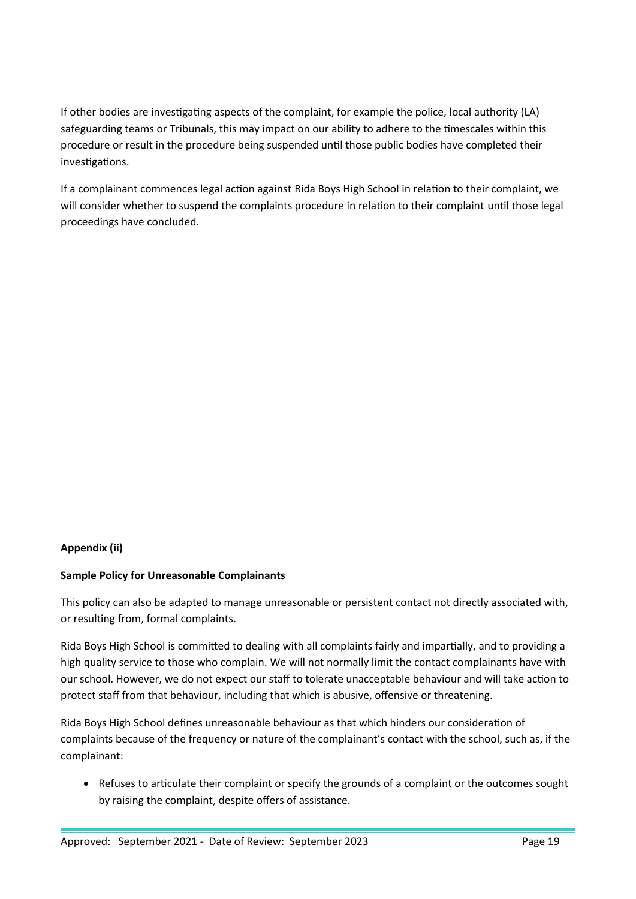If other bodies are investigating aspects of the complaint, for example the police, local authority (LA) safeguarding teams or Tribunals, this may impact on our ability to adhere to the timescales within this procedure or result in the procedure being suspended until those public bodies have completed their investigations.

If a complainant commences legal action against Rida Boys High School in relation to their complaint, we will consider whether to suspend the complaints procedure in relation to their complaint until those legal proceedings have concluded.

#### **Appendix (ii)**

#### **Sample Policy for Unreasonable Complainants**

This policy can also be adapted to manage unreasonable or persistent contact not directly associated with, or resulting from, formal complaints.

Rida Boys High School is committed to dealing with all complaints fairly and impartially, and to providing a high quality service to those who complain. We will not normally limit the contact complainants have with our school. However, we do not expect our staff to tolerate unacceptable behaviour and will take action to protect staff from that behaviour, including that which is abusive, offensive or threatening.

Rida Boys High School defines unreasonable behaviour as that which hinders our consideration of complaints because of the frequency or nature of the complainant's contact with the school, such as, if the complainant:

• Refuses to articulate their complaint or specify the grounds of a complaint or the outcomes sought by raising the complaint, despite offers of assistance.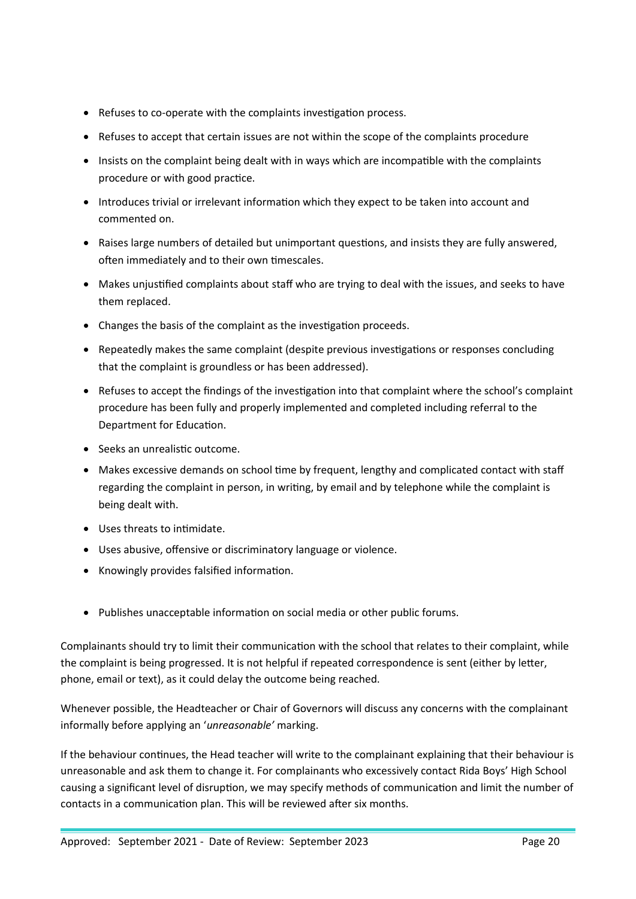- Refuses to co-operate with the complaints investigation process.
- Refuses to accept that certain issues are not within the scope of the complaints procedure
- Insists on the complaint being dealt with in ways which are incompatible with the complaints procedure or with good practice.
- Introduces trivial or irrelevant information which they expect to be taken into account and commented on.
- Raises large numbers of detailed but unimportant questions, and insists they are fully answered, often immediately and to their own timescales.
- Makes unjustified complaints about staff who are trying to deal with the issues, and seeks to have them replaced.
- Changes the basis of the complaint as the investigation proceeds.
- Repeatedly makes the same complaint (despite previous investigations or responses concluding that the complaint is groundless or has been addressed).
- Refuses to accept the findings of the investigation into that complaint where the school's complaint procedure has been fully and properly implemented and completed including referral to the Department for Education.
- Seeks an unrealistic outcome.
- Makes excessive demands on school time by frequent, lengthy and complicated contact with staff regarding the complaint in person, in writing, by email and by telephone while the complaint is being dealt with.
- Uses threats to intimidate.
- Uses abusive, offensive or discriminatory language or violence.
- Knowingly provides falsified information.
- Publishes unacceptable information on social media or other public forums.

Complainants should try to limit their communication with the school that relates to their complaint, while the complaint is being progressed. It is not helpful if repeated correspondence is sent (either by letter, phone, email or text), as it could delay the outcome being reached.

Whenever possible, the Headteacher or Chair of Governors will discuss any concerns with the complainant informally before applying an '*unreasonable'* marking.

If the behaviour continues, the Head teacher will write to the complainant explaining that their behaviour is unreasonable and ask them to change it. For complainants who excessively contact Rida Boys' High School causing a significant level of disruption, we may specify methods of communication and limit the number of contacts in a communication plan. This will be reviewed after six months.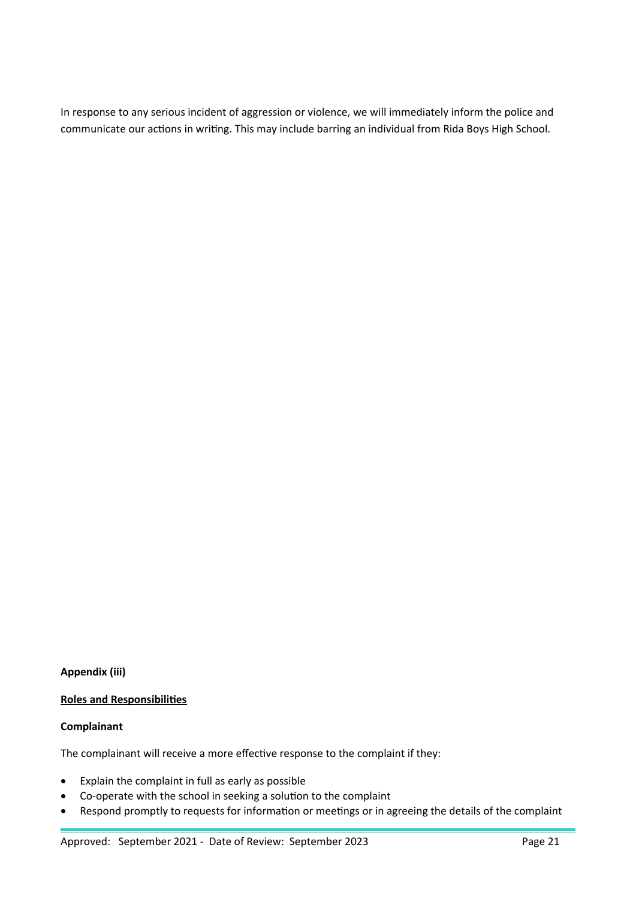In response to any serious incident of aggression or violence, we will immediately inform the police and communicate our actions in writing. This may include barring an individual from Rida Boys High School.

# **Appendix (iii)**

#### **Roles and Responsibilities**

#### **Complainant**

The complainant will receive a more effective response to the complaint if they:

- Explain the complaint in full as early as possible
- Co-operate with the school in seeking a solution to the complaint
- Respond promptly to requests for information or meetings or in agreeing the details of the complaint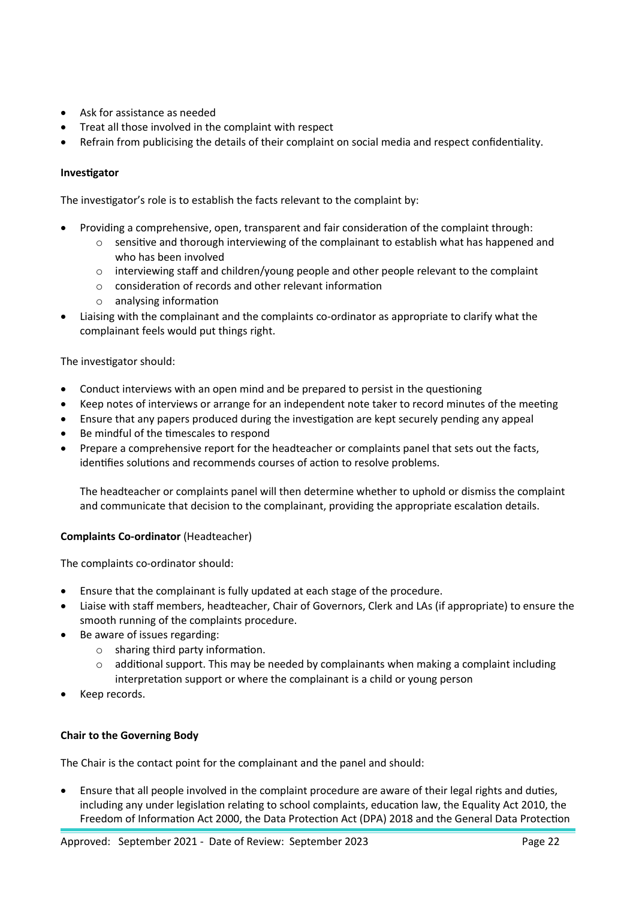- Ask for assistance as needed
- Treat all those involved in the complaint with respect
- Refrain from publicising the details of their complaint on social media and respect confidentiality.

#### **Investigator**

The investigator's role is to establish the facts relevant to the complaint by:

- Providing a comprehensive, open, transparent and fair consideration of the complaint through:
	- $\circ$  sensitive and thorough interviewing of the complainant to establish what has happened and who has been involved
	- $\circ$  interviewing staff and children/young people and other people relevant to the complaint
	- o consideration of records and other relevant information
	- o analysing information
- Liaising with the complainant and the complaints co-ordinator as appropriate to clarify what the complainant feels would put things right.

#### The investigator should:

- Conduct interviews with an open mind and be prepared to persist in the questioning
- Keep notes of interviews or arrange for an independent note taker to record minutes of the meeting
- Ensure that any papers produced during the investigation are kept securely pending any appeal
- Be mindful of the timescales to respond
- Prepare a comprehensive report for the headteacher or complaints panel that sets out the facts, identifies solutions and recommends courses of action to resolve problems.

The headteacher or complaints panel will then determine whether to uphold or dismiss the complaint and communicate that decision to the complainant, providing the appropriate escalation details.

#### **Complaints Co-ordinator** (Headteacher)

The complaints co-ordinator should:

- Ensure that the complainant is fully updated at each stage of the procedure.
- Liaise with staff members, headteacher, Chair of Governors, Clerk and LAs (if appropriate) to ensure the smooth running of the complaints procedure.
- Be aware of issues regarding:
	- o sharing third party information.
	- $\circ$  additional support. This may be needed by complainants when making a complaint including interpretation support or where the complainant is a child or young person
- Keep records.

#### **Chair to the Governing Body**

The Chair is the contact point for the complainant and the panel and should:

 Ensure that all people involved in the complaint procedure are aware of their legal rights and duties, including any under legislation relating to school complaints, education law, the Equality Act 2010, the Freedom of Information Act 2000, the Data Protection Act (DPA) 2018 and the General Data Protection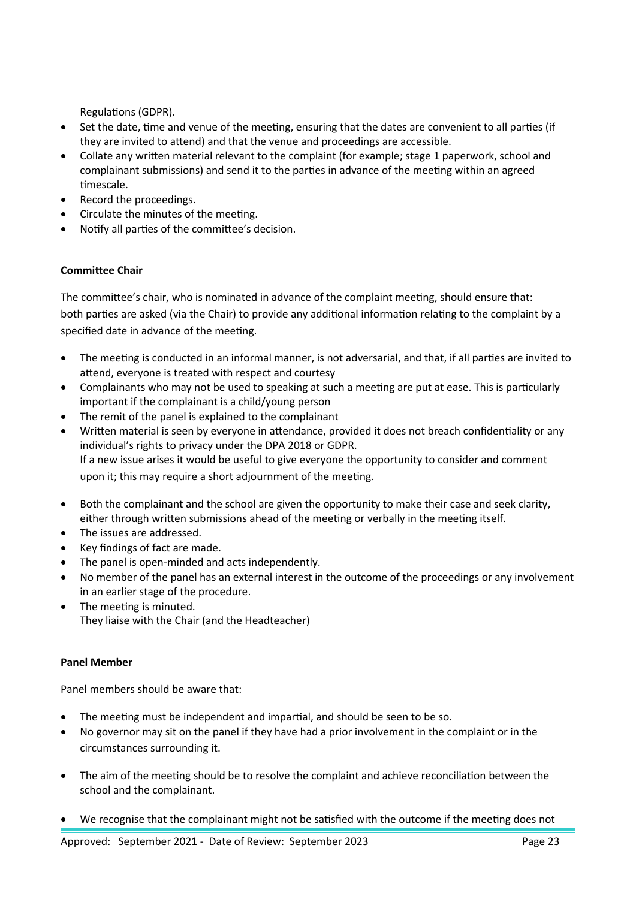Regulations (GDPR).

- Set the date, time and venue of the meeting, ensuring that the dates are convenient to all parties (if they are invited to attend) and that the venue and proceedings are accessible.
- Collate any written material relevant to the complaint (for example; stage 1 paperwork, school and complainant submissions) and send it to the parties in advance of the meeting within an agreed timescale.
- Record the proceedings.
- Circulate the minutes of the meeting.
- Notify all parties of the committee's decision.

#### **Committee Chair**

The committee's chair, who is nominated in advance of the complaint meeting, should ensure that: both parties are asked (via the Chair) to provide any additional information relating to the complaint by a specified date in advance of the meeting.

- The meeting is conducted in an informal manner, is not adversarial, and that, if all parties are invited to attend, everyone is treated with respect and courtesy
- Complainants who may not be used to speaking at such a meeting are put at ease. This is particularly important if the complainant is a child/young person
- The remit of the panel is explained to the complainant
- Written material is seen by everyone in attendance, provided it does not breach confidentiality or any individual's rights to privacy under the DPA 2018 or GDPR. If a new issue arises it would be useful to give everyone the opportunity to consider and comment upon it; this may require a short adjournment of the meeting.
- Both the complainant and the school are given the opportunity to make their case and seek clarity, either through written submissions ahead of the meeting or verbally in the meeting itself.
- The issues are addressed.
- Key findings of fact are made.
- The panel is open-minded and acts independently.
- No member of the panel has an external interest in the outcome of the proceedings or any involvement in an earlier stage of the procedure.
- The meeting is minuted. They liaise with the Chair (and the Headteacher)

#### **Panel Member**

Panel members should be aware that:

- The meeting must be independent and impartial, and should be seen to be so.
- No governor may sit on the panel if they have had a prior involvement in the complaint or in the circumstances surrounding it.
- The aim of the meeting should be to resolve the complaint and achieve reconciliation between the school and the complainant.
- We recognise that the complainant might not be satisfied with the outcome if the meeting does not